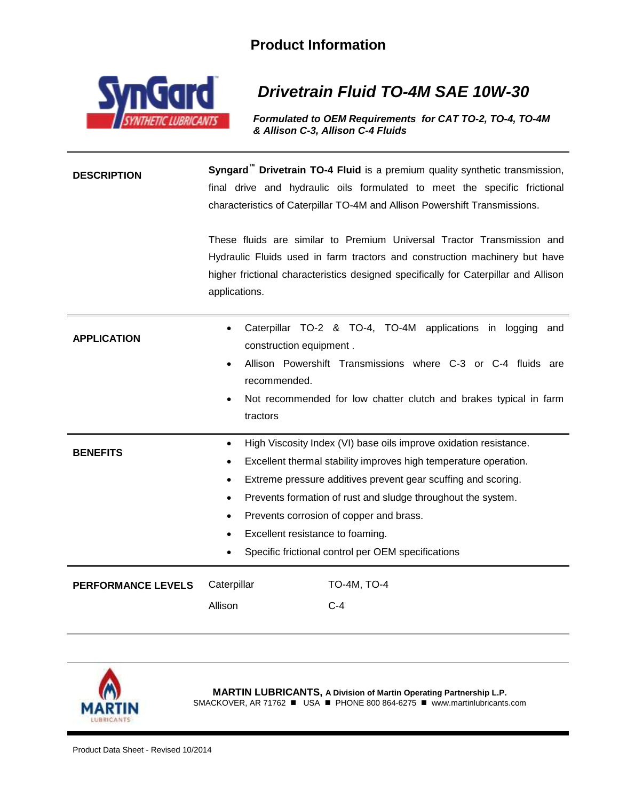## **Product Information**



## *Drivetrain Fluid TO-4M SAE 10W-30*

*Formulated to OEM Requirements for CAT TO-2, TO-4, TO-4M & Allison C-3, Allison C-4 Fluids*

**DESCRIPTION Syngard<sup>™</sup> Drivetrain TO-4 Fluid** is a premium quality synthetic transmission, final drive and hydraulic oils formulated to meet the specific frictional characteristics of Caterpillar TO-4M and Allison Powershift Transmissions.

> These fluids are similar to Premium Universal Tractor Transmission and Hydraulic Fluids used in farm tractors and construction machinery but have higher frictional characteristics designed specifically for Caterpillar and Allison applications.

| <b>APPLICATION</b>        | $\bullet$<br>tractors                                      | Caterpillar TO-2 & TO-4, TO-4M applications in logging and<br>construction equipment.<br>Allison Powershift Transmissions where C-3 or C-4 fluids are<br>recommended.<br>Not recommended for low chatter clutch and brakes typical in farm                                                                                                                                                                  |
|---------------------------|------------------------------------------------------------|-------------------------------------------------------------------------------------------------------------------------------------------------------------------------------------------------------------------------------------------------------------------------------------------------------------------------------------------------------------------------------------------------------------|
| <b>BENEFITS</b>           | $\bullet$<br>$\bullet$<br>٠<br>$\bullet$<br>٠<br>$\bullet$ | High Viscosity Index (VI) base oils improve oxidation resistance.<br>Excellent thermal stability improves high temperature operation.<br>Extreme pressure additives prevent gear scuffing and scoring.<br>Prevents formation of rust and sludge throughout the system.<br>Prevents corrosion of copper and brass.<br>Excellent resistance to foaming.<br>Specific frictional control per OEM specifications |
| <b>PERFORMANCE LEVELS</b> | Caterpillar<br>Allison                                     | TO-4M, TO-4<br>$C-4$                                                                                                                                                                                                                                                                                                                                                                                        |



**MARTIN LUBRICANTS, A Division of Martin Operating Partnership L.P.** SMACKOVER, AR 71762  $\blacksquare$  USA  $\blacksquare$  PHONE 800 864-6275  $\blacksquare$  www.martinlubricants.com